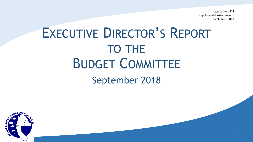Agenda Item F.4 Supplemental Attachment 1 September 2018

1

## EXECUTIVE DIRECTOR'S REPORT TO THE BUDGET COMMITTEE September 2018

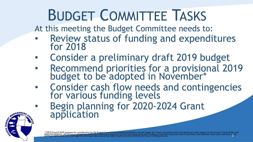## BUDGET COMMITTEE TASKS

At this meeting the Budget Committee needs to:

- Review status of funding and expenditures for 2018
- Consider a preliminary draft 2019 budget
- Recommend priorities for a provisional 2019 budget to be adopted in November\*
- Consider cash flow needs and contingencies for various funding levels
- Begin planning for 2020-2024 Grant application

\* COP 9:Council Staff prepares for consideration by the Budget Committee a proposed preliminary annual budget for Council operations which documents all major aspects of the Council's fiscal affairs and<br>identifies balances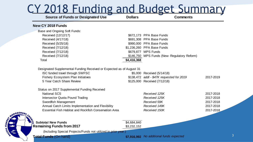#### CY 2018 Funding and Budget Summary **Dollars New CY 2018 Funds** Base and Ongoing Soft Funds: Received (12/12/17) **\$672,173 PPA Base Funds** Received (4/17/18) **\$691,308 PPA Base Funds** Received (5/25/18) 8990,000 PPA Base Funds Received (7/12/18) 81,236,260 PPA Base Funds Received (7/12/18) 8679,877 MPS Funds Received (7/12/18) **Received (7/12/18) S146,750 MPS Funds (New- Regulatory Reform)** Total **\$4,416,368** Designated Supplemental Funding Received or Expected as of August 31 ISC funded travel through SWFSC \$5,000 Received (5/14/18) Fishery Ecosystem Plan Initiatives \$138,472 *addl - \$47K requested for 2019* 2017-2019 5 Year Catch Share Review \$125,000 Received (7/12/18) Status on 2017 Supplemental Funding Received National SCS *Received 125K* 2017-2018 Intersector Quota Pound Trading *Received 125K* 2017-2018 Swordfish Management 2017-2018 2017-2018 Annual Catch Limits Implementation and Flexibility *Received 149K* **2017-2018** Essential Fish Habitat and Rockfish Conservation Area 2017-2018 Received 150K **Subtotal New Funds**  $$4,684,840$ **Remaining Funds from 2017** \$3,232,152 (Including Special Projects/Funds not utilized in prior year.) **Source of Funds or Designated Use <b>Comments Comments** *Received 59K Received 150K*

**Total Funds** (On hand) **\$7,916,992** *No additional funds expected*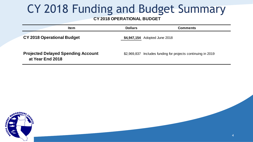### CY 2018 Funding and Budget Summary

#### **CY 2018 OPERATIONAL BUDGET**

| <b>Item</b>                                                   | <b>Dollars</b> | <b>Comments</b>                                  |
|---------------------------------------------------------------|----------------|--------------------------------------------------|
| <b>CY 2018 Operational Budget</b>                             |                | \$4,947,154 Adopted June 2018                    |
| <b>Projected Delayed Spending Account</b><br>at Year End 2018 | \$2,969,837    | Includes funding for projects continuing in 2019 |

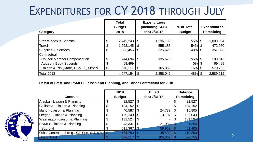### EXPENDITURES FOR CY 2018 THROUGH JULY

| KPENDITURES FOR CY 2018 THROUGH JULY                                                                       |                                       |                                   |          |                                                        |                             |                                  |                                 |
|------------------------------------------------------------------------------------------------------------|---------------------------------------|-----------------------------------|----------|--------------------------------------------------------|-----------------------------|----------------------------------|---------------------------------|
| Category                                                                                                   | <b>Total</b><br><b>Budget</b><br>2018 |                                   |          | <b>Expenditures</b><br>(Including SCS)<br>thru 7/31/18 | % of Total<br><b>Budget</b> | <b>Expenditures</b><br>Remaining |                                 |
| <b>Staff Wages &amp; Benefits</b><br>Travel<br>Supplies & Services<br>Contractual                          | \$<br>\$<br>\$                        | 2,245,243<br>1,028,145<br>683,456 | \$<br>\$ | 1,236,189<br>555,185<br>325,628                        | 55%<br>54%<br>48% \$        | \$<br>\$                         | 1,009,054<br>472,960<br>357,828 |
| <b>Council Member Compensation</b><br><b>Advisory Body Stipends</b><br>Liaison & Pln (State, PSMFC, Other) | \$<br>\$<br>\$                        | 244,694<br>69,499<br>676,117      | \$       | 135,678<br>105,362                                     | 55%<br>$0\%$<br>$16\%$ \$   |                                  | 109,016<br>69,499<br>570,755    |
| <b>Total 2018</b>                                                                                          |                                       | 4,947,154                         | \$       | 2,358,042                                              | 48%                         | \$                               | 2,589,112                       |

5

#### **Detail of State and PSMFC Liaison and Planning, and Other Contractual for 2018**

| Detail of State and PSMFC Liaison and Planning, and Other Contractual for 2018 |               | 2018    |    | <b>Billed</b> |           | <b>Balance</b> |  |
|--------------------------------------------------------------------------------|---------------|---------|----|---------------|-----------|----------------|--|
| <b>Contract</b>                                                                | <b>Budget</b> |         |    | thru 7/31/18  | Remaining |                |  |
| Alaska - Liaison & Planning                                                    | \$            | 22,527  | S  |               |           | 22,527         |  |
| California - Liaison & Planning                                                | \$            | 134,152 | S  |               | S         | 134,152        |  |
| Idaho - Liaison & Planning                                                     | \$            | 40,587  | S  | 24,782        | \$        | 15,805         |  |
| Oregon - Liaison & Planning                                                    | \$            | 139,240 | S  | 13,197        | S         | 126,043        |  |
| Washington-Liaison & Planning                                                  | \$            | 131,524 | S  |               | \$        | 131,524        |  |
| <b>PSMFC-Liaison &amp; Planning</b>                                            | \$            | 43,337  | \$ | 21,983        | D         | 21,354         |  |
| Subtotal                                                                       | \$            | 511,367 |    | 59,962        | \$        | 451,405        |  |
| Other Contractual (e.g., GF Spx, Sal, IQ)                                      | \$            | 164,750 | \$ | 45,400        | \$        | 119,350        |  |
| <b>Grand Total</b>                                                             | \$            | 676,117 |    | 105,362       | S         | 570,755        |  |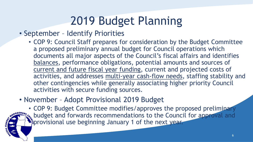## 2019 Budget Planning

#### • September – Identify Priorities

• COP 9: Council Staff prepares for consideration by the Budget Committee a proposed preliminary annual budget for Council operations which documents all major aspects of the Council's fiscal affairs and identifies balances, performance obligations, potential amounts and sources of current and future fiscal year funding, current and projected costs of activities, and addresses multi-year cash-flow needs, staffing stability and other contingencies while generally associating higher priority Council activities with secure funding sources.

#### • November – Adopt Provisional 2019 Budget

• COP 9: Budget Committee modifies/approves the proposed preliminary s. budget and forwards recommendations to the Council for approval and **Eprovisional use beginning January 1 of the next year.**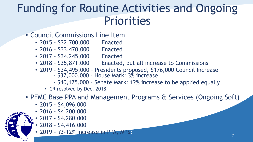### Funding for Routine Activities and Ongoing Priorities

#### • Council Commissions Line Item

- 2015 \$32,700,000 Enacted
- 2016 \$33,470,000 Enacted
- 2017 \$34,245,000 Enacted
- 2018 \$35,871,000 Enacted, but all increase to Commissions
- 2019 \$34,495,000 Presidents proposed, \$176,000 Council Increase
	- \$37,000,000 House Mark: 3% increase
	- \$40,175,000 Senate Mark: 12% increase to be applied equally
	- CR resolved by Dec. 2018

#### • PFMC Base PPA and Management Programs & Services (Ongoing Soft)

- 2015 \$4,096,000
- 2016 \$4,200,000
- 2017 \$4,280,000
- $\cdot$  2018 \$4,416,000
- 2019 ~ ?3-12% increase in PPA, MPS?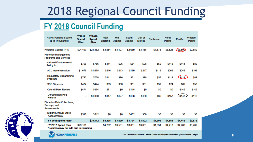### 2018 Regional Council Funding

#### FY 2018 Council Funding

| <b>NMFS Funding Source</b><br>(\$ in Thousands)            | <b>FY2017</b><br><b>Spend</b><br>Plan | <b>FY2018</b><br><b>Spend</b><br>Plan | <b>New</b><br>England | Mid-<br><b>Atlantic</b> | South<br><b>Atlantic</b> | <b>Gulf of</b><br>Mexico | Caribbean | <b>North</b><br>Pacific | <b>Pacific</b> | Western<br>Pacific |
|------------------------------------------------------------|---------------------------------------|---------------------------------------|-----------------------|-------------------------|--------------------------|--------------------------|-----------|-------------------------|----------------|--------------------|
| Regional Council PPA                                       | \$24,497                              | \$24,462                              | \$3,584               | \$3,107                 | \$2,630                  | \$3,168                  | \$1,676   | \$3,828                 | \$3,590        | \$2,880            |
| Fisheries Management<br><b>Programs and Services</b>       |                                       |                                       |                       |                         |                          |                          |           |                         |                |                    |
| <b>National Environmental</b><br><b>Policy Act</b>         | \$756                                 | \$756                                 | \$111                 | \$96                    | \$81                     | \$98                     | \$52      | \$118                   | <b>S111</b>    | \$89               |
| <b>ACL Implementation</b>                                  | \$1,678                               | \$1,678                               | \$246                 | \$213                   | \$180                    | \$217                    | \$115     | \$263                   | \$246          | \$198              |
| <b>Requlatory Streamlining</b><br>Program                  | \$792                                 | \$758                                 | <b>S111</b>           | \$96                    | \$81                     | \$98                     | \$52      | \$119                   | \$111          | \$89               |
| <b>SSC Stipends</b>                                        | \$474                                 | \$474                                 | \$69                  | \$60                    | \$51                     | \$61                     | \$32      | \$74                    | \$69           | \$56               |
| <b>Council Peer Review</b>                                 | \$474                                 | \$474                                 | \$71                  | \$0                     | \$118                    | \$0                      | \$0       | \$0                     | \$142          | \$142              |
| Deregulation/Reg<br><b>Reform</b>                          | ۰                                     | \$1,000                               | \$147                 | \$127                   | \$108                    | \$130                    | \$69      | \$157                   | \$147          | \$118              |
| Fisheries Data Collections,<br>Surveys, and<br>Assessments |                                       |                                       |                       |                         |                          |                          |           |                         |                |                    |
| <b>Expand Annual Stock</b><br>Assessments                  | \$512                                 | \$512                                 | \$0                   | \$0                     | \$482                    | \$30                     | SO.       | \$0                     | \$0            | SO.                |
| FY 2018Spend Plan*                                         |                                       | \$30,112                              | \$4,338               | \$3,699                 | \$3,731                  | \$3,802                  | \$1,995   | \$4,558                 | \$4,416        | \$3,572            |
| FY 2017 Spend Plan<br>*Columns may not add due to rounding | \$29,181                              |                                       | \$4,202               | \$3,581                 | \$3,631                  | \$3,681                  | \$1,931   | \$4,413                 | \$4,280        | \$3,462            |



NAGEMEN

**STELS**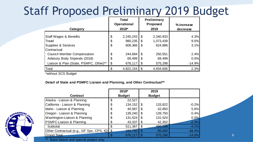### Staff Proposed Preliminary 2019 Budget

|                                        |                       | <b>Total</b><br><b>Operational</b><br>2018* |      | <b>Preliminary</b><br>Proposed<br>2019 | % increase |
|----------------------------------------|-----------------------|---------------------------------------------|------|----------------------------------------|------------|
| Category                               |                       |                                             |      |                                        | decrease   |
| <b>Staff Wages &amp; Benefits</b>      | \$                    | 2,245,243                                   | - \$ | 2,340,933                              | 4.3%       |
| Travel                                 | \$                    | 980,235                                     | -\$  | 1,073,439                              | 9.5%       |
| Supplies & Services                    | $\boldsymbol{\theta}$ | 606,366                                     | \$   | 624,886                                | 3.1%       |
| <b>Contractual</b>                     |                       |                                             |      |                                        |            |
| <b>Council Member Compensation</b>     | \$                    | 244,694                                     | \$   | 250,551                                | 2.4%       |
| Advisory Body Stipends (2018)          | \$                    | 69,499                                      | \$   | 69,499                                 | 0.0%       |
| Liaison & Plan (State, PSMFC, Other)** | $\boldsymbol{\theta}$ | 676,117                                     | -\$  | 575,298                                | $-14.9%$   |
| Total                                  |                       | 4,822,154                                   |      | 4,934,606                              | 2.3%       |

\*without SCS Budget

#### **Detail of State and PSMFC Liaison and Planning, and Other Contractual\*\***

|                                              |    | 2018*         |    | 2019          |          |
|----------------------------------------------|----|---------------|----|---------------|----------|
| <b>Contract</b>                              |    | <b>Budget</b> |    | <b>Budget</b> |          |
| Alaska - Liaison & Planning                  | \$ | 22,527        |    |               |          |
| California - Liaison & Planning              | \$ | 134,152       |    | 133,822       | $-0.2%$  |
| Idaho - Liaison & Planning                   | \$ | 40,587        | \$ | 42,850        | 5.6%     |
| Oregon - Liaison & Planning                  | \$ | 139,240       | \$ | 139,750       | 0.4%     |
| Washington-Liaison & Planning                | \$ | 131,524       | S  | 131,524       | 0.0%     |
| <b>PSMFC-Liaison &amp; Planning</b>          | \$ | 43,337        | \$ | 42,352        | $-2.3%$  |
| Subtotal                                     | \$ | 511,367       |    | 490,298       | $-4.1%$  |
| Other Contractual (e.g., GF Spx, CPS, IQ) \$ |    | 164,750       |    | 85,000        | $-48.4%$ |
| <b>Grand Total</b>                           | ¢  | 676,117       |    | 575,298       | $-14.9%$ |

Base liaison and special project only.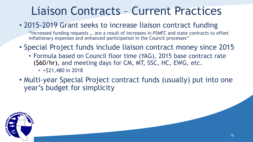### Liaison Contracts – Current Practices

#### • 2015-2019 Grant seeks to increase liaison contract funding

"Increased funding requests … are a result of increases in PSMFC and state contracts to offset inflationary expenses and enhanced participation in the Council processes"

- Special Project funds include liaison contract money since 2015
	- Formula based on Council floor time (YAG), 2015 base contract rate (\$60/hr), and meeting days for CM, MT, SSC, HC, EWG, etc.
		- $\cdot$  +\$21,480 in 2018
- Multi-year Special Project contract funds (usually) put into one year's budget for simplicity

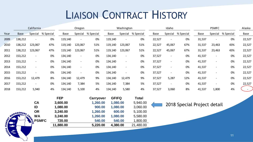### LIAISON CONTRACT HISTORY

|      |             | California                                                  |           |                                                                      | Oregon                   |                                                                   |              | Washington                                           |                                                                          |        | Idaho                    |                             |        | <b>PSMFC</b>             |           | Alaska         |
|------|-------------|-------------------------------------------------------------|-----------|----------------------------------------------------------------------|--------------------------|-------------------------------------------------------------------|--------------|------------------------------------------------------|--------------------------------------------------------------------------|--------|--------------------------|-----------------------------|--------|--------------------------|-----------|----------------|
| Year | <b>Base</b> | Special                                                     | % Special | Base                                                                 | Special                  | % Special                                                         | Base         | Special                                              | % Special                                                                | Base   | Special                  | % Special                   | Base   | Special                  | % Special | Base           |
| 2009 | 138,212     |                                                             | 0%        | 119,140                                                              |                          | 0%                                                                | 119,140      |                                                      | 0%                                                                       | 22,527 | $\blacksquare$           | 0%                          | 31,537 |                          | 0%        | 22,527         |
| 2010 | 138,212     | 123,067                                                     | 47%       | 119,140                                                              | 123,067                  | 51%                                                               | 119,140      | 123,067                                              | 51%                                                                      | 22,527 | 45,067                   | 67%                         | 31,537 | 23,463                   | 43%       | 22,527         |
| 2011 | 138,212     | 123,067                                                     | 47%       | 119,140                                                              | 123,067                  | 51%                                                               | 119,140      | 123,067                                              | 51%                                                                      | 22,527 | 45,067                   | 67%                         | 31,537 | 23,463                   | 43%       | 22,527         |
| 2012 | 153,212     |                                                             | 0%        | 134,140                                                              | $\qquad \qquad -$        | 0%                                                                | 134,140      |                                                      | 0%                                                                       | 37,527 | $\overline{\phantom{a}}$ | 0%                          | 41,537 |                          | 0%        | 22,527         |
| 2013 | 153,212     | $\blacksquare$                                              | 0%        | 134,140                                                              | $\overline{\phantom{a}}$ | $0\%$                                                             | 134,140      |                                                      | 0%                                                                       | 37,527 | $\overline{\phantom{a}}$ | 0%                          | 41,537 |                          | 0%        | 22,527         |
| 2014 | 153,212     | $\blacksquare$                                              | 0%        | 134,140                                                              | $\overline{\phantom{a}}$ | 0%                                                                | 134,140      |                                                      | 0%                                                                       | 37,527 | $\overline{\phantom{a}}$ | 0%                          | 41,537 | $\overline{\phantom{a}}$ | 0%        | 22,527         |
| 2015 | 153,212     |                                                             | 0%        | 134,140                                                              |                          | 0%                                                                | 134,140      |                                                      | 0%                                                                       | 37,527 | $\overline{\phantom{a}}$ | 0%                          | 41,537 | $\overline{\phantom{a}}$ | 0%        | 22,527         |
| 2016 | 153,212     | 12,479                                                      | 8%        | 134,140                                                              | 12,479                   | 9%                                                                | 134,140      | 12,479                                               | 9%                                                                       | 37,527 | 5,287                    | 12%                         | 41,537 | $\overline{\phantom{a}}$ | 0%        | 22,527         |
| 2017 | 153,212     | $\overline{\phantom{a}}$                                    | 0%        | 134,140                                                              | 7,384                    | 5%                                                                | 134,140      | 7,384                                                | 5%                                                                       | 37,527 | $\blacksquare$           | 0%                          | 41,537 |                          | 0%        | 22,527         |
| 2018 | 153,212     | 5,940                                                       | 4%        | 134,140                                                              | 5,100                    | 4%                                                                | 134,140      | 5,580                                                | 4%                                                                       | 37,527 | 3,060                    | 8%                          | 41,537 | 1,800                    | 4%        | $\sim$ $^{-1}$ |
|      | MANAGEMENT  | <b>CA</b><br>ID<br><b>OR</b><br><b>WA</b><br><b>E</b> PSMFC |           | <b>FEP</b><br>3,600.00<br>1,080.00<br>3,240.00<br>3,240.00<br>720.00 |                          | Carryover<br>1,260.00<br>900.00<br>1,260.00<br>1,260.00<br>540.00 | <b>GFIFQ</b> | 1,080.00<br>1,080.00<br>600.00<br>1,080.00<br>540.00 | <b>Total</b><br>5,940.00<br>3,060.00<br>5,100.00<br>5,580.00<br>1,800.00 |        |                          | 2018 Special Project detail |        |                          |           |                |

**11,880.00 5,220.00 4,380.00** 21,480.00

**A REPORTSM** 

 $\begin{array}{c} \overline{1} \\ \overline{1} \\ \overline{1} \end{array}$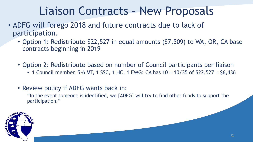### Liaison Contracts – New Proposals

- ADFG will forego 2018 and future contracts due to lack of participation.
	- Option 1: Redistribute \$22,527 in equal amounts (\$7,509) to WA, OR, CA base contracts beginning in 2019
	- Option 2: Redistribute based on number of Council participants per liaison
		- 1 Council member, 5-6 MT, 1 SSC, 1 HC, 1 EWG: CA has 10 = 10/35 of \$22,527 = \$6,436
	- Review policy if ADFG wants back in:

"In the event someone is identified, we [ADFG] will try to find other funds to support the participation."

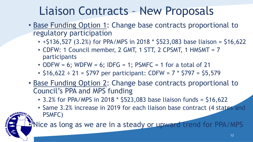### Liaison Contracts – New Proposals

- Base Funding Option 1: Change base contracts proportional to regulatory participation
	- $+$  \$136,527 (3.2%) for PPA/MPS in 2018 \* \$523,083 base liaison = \$16,622
	- CDFW: 1 Council member, 2 GMT, 1 STT, 2 CPSMT, 1 HMSMT = 7 participants
	- ODFW = 6; WDFW = 6; IDFG = 1; PSMFC = 1 for a total of 21
	- $$16,622 \div 21 = $797$  per participant: CDFW = 7  $*$  \$797 = \$5,579
- Base Funding Option 2: Change base contracts proportional to Council's PPA and MPS funding
	- 3.2% for PPA/MPS in 2018 \* \$523,083 base liaison funds = \$16,622
	- Same 3.2% increase in 2019 for each liaison base contract (4 states and PSMFC)

Fivice as long as we are in a steady or upward trend for PPA/MPS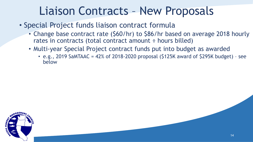### Liaison Contracts – New Proposals

- Special Project funds liaison contract formula
	- Change base contract rate (\$60/hr) to \$86/hr based on average 2018 hourly rates in contracts (total contract amount ÷ hours billed)
	- Multi-year Special Project contract funds put into budget as awarded
		- e.g., 2019 SaMTAAC =  $42\%$  of 2018-2020 proposal (\$125K award of \$295K budget) see below

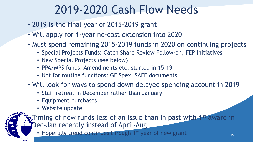### 2019-2020 Cash Flow Needs

- 2019 is the final year of 2015-2019 grant
- Will apply for 1-year no-cost extension into 2020
- Must spend remaining 2015-2019 funds in 2020 on continuing projects
	- Special Projects Funds: Catch Share Review Follow-on, FEP Initiatives
	- New Special Projects (see below)
	- PPA/MPS funds: Amendments etc. started in 15-19
	- Not for routine functions: GF Spex, SAFE documents
- Will look for ways to spend down delayed spending account in 2019
	- Staff retreat in December rather than January
	- Equipment purchases
	- Website update

**E** Timing of new funds less of an issue than in past with 1st award in Dec-Jan recently instead of April-Aug

• Hopefully trend continues through 1st year of new grant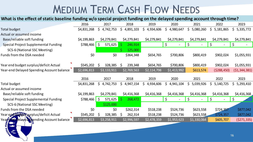### MEDIUM TERM CASH FLOW NEEDS

#### **What is the effect of static baseline funding w/o special project funding on the delayed spending account through time?**

| <b>MEDIUM TERM CASH FLOW NEEDS</b>                                                                                      |             |                    |                                 |                           |                 |                 |                  |                  |  |  |
|-------------------------------------------------------------------------------------------------------------------------|-------------|--------------------|---------------------------------|---------------------------|-----------------|-----------------|------------------|------------------|--|--|
| What is the effect of static baseline funding w/o special project funding on the delayed spending account through time? |             |                    |                                 |                           |                 |                 |                  |                  |  |  |
|                                                                                                                         | 2016        | 2017               | 2018                            | 2019                      | 2020            | 2021            | 2022             | 2023             |  |  |
| <b>Total budget</b>                                                                                                     | \$4,831,268 | \$4,742,753        | $\zeta$<br>4,891,103            | $\mathsf{S}$<br>4,934,606 | Ś.<br>4,980,647 | \$<br>5,080,260 | \$<br>5,181,865  | \$<br>5,335,772  |  |  |
| Actual or assumed income                                                                                                |             |                    |                                 |                           |                 |                 |                  |                  |  |  |
| Base/reliable soft funding                                                                                              | \$4,199,863 | \$4,279,841        | \$4,279,841                     | \$4,279,841               | \$4,279,841     | \$4,279,841     | \$4,279,841      | \$4,279,841      |  |  |
| <b>Special Project Supplemental Funding</b>                                                                             | \$788,466   | $\zeta$<br>571,625 | 246,914                         |                           | $\zeta$         | $\zeta$         | $\zeta$          | $\zeta$          |  |  |
| SCS-6 (National SSC Meeting)                                                                                            |             |                    | 125,000                         |                           |                 |                 |                  |                  |  |  |
| Funds from the DSA needed                                                                                               | \$0         | \$0                | \$364,348                       | \$654,765                 | \$700,806       | \$800,419       | \$902,024        | \$1,055,931      |  |  |
| Year end budget surplus/deficit Actual                                                                                  | \$545,202   | Ś.<br>328,385      | S.<br>239,348                   | \$654,765                 | \$700,806       | \$800,419       | \$902,024        | \$1,055,931      |  |  |
| Year-end Delayed Spending Account balance                                                                               | \$2,696,813 | \$3,133,911        | \$2,769,563                     | \$2,114,798               | \$1,413,992     | \$613,574       | ( \$288,450)     | (51, 344, 381)   |  |  |
|                                                                                                                         | 2016        | 2017               | 2018                            | 2019                      | 2020            | 2021            | 2022             | 2023             |  |  |
| <b>Total budget</b>                                                                                                     | \$4,831,268 | \$4,742,753        | $\mathsf{\dot{S}}$<br>4,947,154 | 4,934,606                 | \$4,941,104     | \$<br>5,039,926 | \$.<br>5,140,725 | 5,293,410<br>\$. |  |  |
| Actual or assumed income                                                                                                |             |                    |                                 |                           |                 |                 |                  |                  |  |  |
| Base/reliable soft funding                                                                                              | \$4,199,863 | \$4,279,841        | \$4,416,368                     | \$4,416,368               | \$4,416,368     | \$4,416,368     | \$4,416,368      | \$4,416,368      |  |  |
| <b>Special Project Supplemental Funding</b>                                                                             | \$788,466   | $\zeta$<br>571,625 | 268,472                         |                           | Ś.              | $\zeta$         | $\zeta$          | \$               |  |  |
| SCS-6 (National SSC Meeting)                                                                                            |             | \$125,000          |                                 |                           |                 |                 |                  |                  |  |  |
| <b>Funds from the DSA needed</b>                                                                                        | \$0         | \$0                | \$262,314                       | \$518,238                 | \$524,736       | \$623,558       | \$724,357        | \$877,042        |  |  |
| Year epothics of a virplus/deficit Actual                                                                               | \$545,202   | 328,385<br>Ś.      | 262,314<br>-S                   | \$518,238                 | \$524,736       | \$623,558       | \$724,357        | \$877,042        |  |  |
| elayed Spending Account balance<br>Year                                                                                 | \$2,696,813 | \$3,258,911        | \$2,996,597                     | \$2,478,359               | \$1,953,623     | \$1,330,064     | \$605,707        | (5271, 335)      |  |  |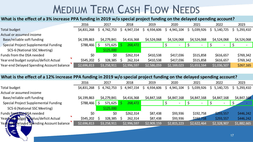### MEDIUM TERM CASH FLOW NEEDS

#### **What is the effect of a 3% increase PPA funding in 2019 w/o special project funding on the delayed spending account?**

|                                                                                                                       |             |               |               | <b>MEDIUM TERM CASH FLOW NEEDS</b> |                  |                 |                 |                 |  |  |
|-----------------------------------------------------------------------------------------------------------------------|-------------|---------------|---------------|------------------------------------|------------------|-----------------|-----------------|-----------------|--|--|
|                                                                                                                       |             |               |               |                                    |                  |                 |                 |                 |  |  |
| What is the effect of a 3% increase PPA funding in 2019 w/o special project funding on the delayed spending account?  |             |               |               |                                    |                  |                 |                 |                 |  |  |
|                                                                                                                       | 2016        | 2017          | 2018          | 2019                               | 2020             | 2021            | 2022            | 2023            |  |  |
| Total budget                                                                                                          | \$4,831,268 | \$4,742,753   | \$4,947,154   | Ś.<br>4,934,606                    | \$.<br>4,941,104 | \$<br>5,039,926 | \$5,140,725     | 5,293,410<br>S. |  |  |
| Actual or assumed income                                                                                              |             |               |               |                                    |                  |                 |                 |                 |  |  |
| Base/reliable soft funding                                                                                            | \$4,199,863 | \$4,279,841   | \$4,416,368   | \$4,524,068                        | \$4,524,068      | \$4,524,068     | \$4,524,068     | \$4,524,068     |  |  |
| <b>Special Project Supplemental Funding</b>                                                                           | \$788,466   | Ś.<br>571,625 | 268,472       |                                    |                  | Ś.              |                 |                 |  |  |
| SCS-6 (National SSC Meeting)                                                                                          |             | \$125,000     |               |                                    |                  |                 |                 |                 |  |  |
| Funds from the DSA needed                                                                                             | \$0         | \$0           | \$262,314     | \$410,538                          | \$417,036        | \$515,858       | \$616,657       | \$769,342       |  |  |
| Year end budget surplus/deficit Actual                                                                                | \$545,202   | 328,385       | 262,314<br>-S | \$410,538                          | \$417,036        | \$515,858       | \$616,657       | \$769,342       |  |  |
| Year-end Delayed Spending Account balance                                                                             | \$2,696,813 | \$3,258,911   | \$2,996,597   | \$2,586,059                        | \$2,169,023      | \$1,653,164     | \$1,036,507     | \$267,165       |  |  |
|                                                                                                                       |             |               |               |                                    |                  |                 |                 |                 |  |  |
| What is the effect of a 12% increase PPA funding in 2019 w/o special project funding on the delayed spending account? |             |               |               |                                    |                  |                 |                 |                 |  |  |
|                                                                                                                       | 2016        | 2017          | 2018          | 2019                               | 2020             | 2021            | 2022            | 2023            |  |  |
| Total budget<br>Actual or assumed income                                                                              | \$4,831,268 | \$4,742,753   | \$4,947,154   | Ś.<br>4,934,606                    | 4,941,104<br>S.  | 5,039,926<br>S. | S.<br>5,140,725 | 5,293,410<br>S. |  |  |

#### **What is the effect of a 12% increase PPA funding in 2019 w/o special project funding on the delayed spending account?**

| Year end budget surplus/deficit Actual                                                                                | \$545,202   | 328,385                 | 262,314        | \$410,538       | \$417,036       | \$515,858      | \$616,657                | \$769,342       |  |  |  |
|-----------------------------------------------------------------------------------------------------------------------|-------------|-------------------------|----------------|-----------------|-----------------|----------------|--------------------------|-----------------|--|--|--|
| Year-end Delayed Spending Account balance                                                                             | \$2,696,813 | \$3,258,911             | \$2,996,597    | \$2,586,059     | \$2,169,023     | \$1,653,164    | \$1,036,507              | \$267,165       |  |  |  |
|                                                                                                                       |             |                         |                |                 |                 |                |                          |                 |  |  |  |
| What is the effect of a 12% increase PPA funding in 2019 w/o special project funding on the delayed spending account? |             |                         |                |                 |                 |                |                          |                 |  |  |  |
|                                                                                                                       | 2016        | 2017                    | 2018           | 2019            | 2020            | 2021           | 2022                     | 2023            |  |  |  |
| Total budget                                                                                                          | \$4,831,268 | 4,742,753<br>S.         | 4,947,154<br>S | 4,934,606<br>S. | 4,941,104<br>S. | 5,039,926<br>S | 5,140,725<br>Ş.          | 5,293,410<br>Ş. |  |  |  |
| Actual or assumed income                                                                                              |             |                         |                |                 |                 |                |                          |                 |  |  |  |
| Base/reliable soft funding                                                                                            | \$4,199,863 | \$4,279,841             | \$4,416,368    | \$4,847,168     | \$4,847,168     | \$4,847,168    | \$4,847,168              | \$4,847,168     |  |  |  |
| <b>Special Project Supplemental Funding</b>                                                                           | \$788,466   | 571,625<br>$\mathsf{S}$ | 268,472        |                 |                 |                | $\overline{\phantom{a}}$ |                 |  |  |  |
| SCS-6 (National SSC Meeting)                                                                                          |             | \$125,000               |                |                 |                 |                |                          |                 |  |  |  |
| Funds from the DSA needed                                                                                             | \$0         | \$0                     | \$262,314      | \$87,438        | \$93,936        | \$192,758      | \$293,557                | \$446,242       |  |  |  |
| Years not lidget Yrplus/deficit Actual                                                                                | \$545,202   | 328,385                 | 262,314        | \$87,438        | \$93,936        | \$192,758      | \$293,557                | \$446,242       |  |  |  |
| Year fand Delayed Spending Account balance<br>E                                                                       | \$2,696,813 | \$3,258,911             | \$2,996,597    | \$2,909,159     | \$2,815,223     | \$2,622,464    | \$2,328,907              | \$1,882,665     |  |  |  |
|                                                                                                                       |             |                         |                |                 |                 |                |                          |                 |  |  |  |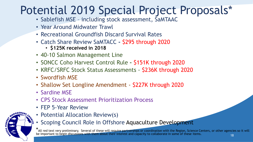## Potential 2019 Special Project Proposals\*

- Sablefish MSE including stock assessment, SaMTAAC
- Year Around Midwater Trawl
- Recreational Groundfish Discard Survival Rates
- Catch Share Review SaMTACC **-** \$295 through 2020
	- **\$125K received in 2018**
- 40-10 Salmon Management Line
- SONCC Coho Harvest Control Rule **-** \$151K through 2020
- KRFC/SRFC Stock Status Assessments \$236K through 2020
- Swordfish MSE
- Shallow Set Longline Amendment \$227K through 2020
- Sardine MSE
- CPS Stock Assessment Prioritization Process
- FEP 5-Year Review



- Potential Allocation Review(s)
- Scoping Council Role in Offshore Aquaculture Development

\* All red text very preliminary. Several of these will require partnerships or coordination with the Region, Science Centers, or other agencies so it will be important to begin discussions with them about their interest and capacity to collaborate in some of these items.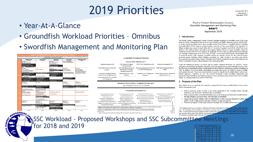### 2019 Priorities

- Year-At-A-Glance
- Groundfish Workload Priorities Omnibus
- Swordfish Management and Monitoring Plan



**SIRO** 

#### **Groundfish Workload Priorities**

#### 2018 ACTIVE PROJECTS<sup>a/, b/</sup>

| Litigation Response (10)                                                                                                                 | ESA Salmon & Seabird<br>Consultation (20)                                     | $EFH + RCA$ Modifications (32)                                                          | Inseason Management (27)                                 |
|------------------------------------------------------------------------------------------------------------------------------------------|-------------------------------------------------------------------------------|-----------------------------------------------------------------------------------------|----------------------------------------------------------|
| atch Share Review Follow-On<br>Actions <sup>c/</sup>                                                                                     | 2019-2020 Biennial Harvest<br>Specifications and Mgt.<br>Measures, Incl. EFPs | Stock Assessment Review Process Final Stock Assessment Plan &<br>for 2019-2020 Biennium | <b>TORs</b>                                              |
| oastwide Nonwhiting Midwater<br>awl EFP/G ear Modification EFP<br>ar Switching and Trawl Sablefish<br>$\sim$ $\sim$ $\sim$ $\sim$ $\sim$ | Methodology Review Topic<br><b>Selection</b>                                  | Flexibility in ACL Management<br>Responsed                                              | Science Improvements & Assessment<br>Methods Review (19) |

#### PROJECTS TENTATIVELY SCHEDULED FOR 2019<sup>a</sup> Stock Assessment Review for 2021-2022 Biennium

#### **UNSCHEDULED PROJECTS<sup>2</sup>**

| Nearshore Management Issues (37)                                                                                                                                                                                                                                                                                                                                                                                                                                                                                                                  | Ecosystem Component Species (46)                                      | RCA adjustments for Pot Vessels (53)         | Halibut Retention S. of Pt. Chehalis (68)    |  |  |  |  |  |  |  |
|---------------------------------------------------------------------------------------------------------------------------------------------------------------------------------------------------------------------------------------------------------------------------------------------------------------------------------------------------------------------------------------------------------------------------------------------------------------------------------------------------------------------------------------------------|-----------------------------------------------------------------------|----------------------------------------------|----------------------------------------------|--|--|--|--|--|--|--|
| Rebuilding Revision Rules (43)                                                                                                                                                                                                                                                                                                                                                                                                                                                                                                                    | 60 Mile Bank RCA Lines (48)                                           | Carryo ver when Management Units Change (61) | 50 fm Depth Restriction (70)                 |  |  |  |  |  |  |  |
| Stock Complexes (44)                                                                                                                                                                                                                                                                                                                                                                                                                                                                                                                              | Rougheve Rockfish GCAs (49)                                           | Recreational Discard Survival Rates (69)     | Allow Between Sector Trading of Ouota Pounds |  |  |  |  |  |  |  |
| Ecosystem Port Sampling Initiative -                                                                                                                                                                                                                                                                                                                                                                                                                                                                                                              | Sablefish Conversion Factors (50)                                     | Lingcod S. of 40°10' Traw1/Non-Trawl Alloc.  | (quota species except whiting) (54, 55)      |  |  |  |  |  |  |  |
| White Paper and Proposal (45)                                                                                                                                                                                                                                                                                                                                                                                                                                                                                                                     | Permit Size Endorsements (51)                                         | Mid-Bienium ACL Adi. (71)                    | LE Fixed Gear Sablefish Issues (38)          |  |  |  |  |  |  |  |
| Develop Criteria for Distributing AMP OP (42)                                                                                                                                                                                                                                                                                                                                                                                                                                                                                                     | Seabird Avoidance. Vessels <55 feet (52)                              | Trawl/Nontrawl Allocations                   | Carrvover of At-Sea Set Asides ro            |  |  |  |  |  |  |  |
| Aggregate Non-whiting QS Control Limits and<br>Individual Species Weighting                                                                                                                                                                                                                                                                                                                                                                                                                                                                       | Year-Round Whiting Season and Other Season<br>Date Modifications (57) | Traw1 Gear Regulations Update II (59)        |                                              |  |  |  |  |  |  |  |
| Vivanbers in parentheses reference items identified via Omnibus Worldoad Planning. See Agenda Item G. 6.a, Attachment 2, June 2016 for a complete description of each measure.<br>Ĕş<br>» Bolded items are considered core MSA responsibility tasks. Shaded items are projects planned for work pending funding<br>. The behavior and and consequences in this line consistence of more accord (OTM the last functional contract content of OTM the mass according to the last of the first of the second of the second of the second of the seco |                                                                       |                                              |                                              |  |  |  |  |  |  |  |

and relief from amual QP limin, elimination of Sept. 1 expiration of QP, catche-processor (CP) sector accumulation limin, and data collection on CP and quoti

d/ Includes a multi-year approach for determining overfishing and ABC/ACL carryover as well as increasin the QP carryover

& SSC Workload - Proposed Workshops and SSC Subcommittee Meetings **Propose 3** Proposed Meeting **Prop SSC Reps. Additional Reviewers AB Reps. Council Staff 1** CCIEA Indicator Review Sep. 5 Sep. 5 September Seattle, WA State Ecosystem Subcommittee None EWG Days EAS DeVore

PACIFIC FISHERY MANAGEMENT COUNCIL Swordfish Management and Monitoring Plan **DRAFT** September 2018

Agenda Item H.6 Attachment 1 September 2018

#### 1 Introduction

The Pacific Fishery Management Council (Council) manages targeting of swordfish on the West Coast under its Fishery Management Plan for West Coast Fisheries for Highly Migratory Species (HMS FMP). A variety of gears are being used to catch swordfish on the West Coast (i.e., swordfish fishery), including large drift gillnet (DGN), harpoon, pelagic longline, and deep-set buoy gear (DSBG) (See Appendix A). Pelagic longline gear cannot be used within the U.S. Exclusive Economic Zone (EEZ) of the West Coast (three to 200 nautical miles) and shallow-set longline fishing (SSLL) to target swordfish cannot be conducted both east and west of 150 degrees W. longitude. However, there is a general interest in exploring use of pelagic longline gear on the West Coast. Bycatch<sup>1</sup> of non-target finfish species and incidental take of protected species while targeting swordfish remains an ongoing concern for the Council because protected species, including whales, dolphins, pinnipeds (e.g., seals, sea lions), sea turtles, and seabirds have special status under Federal statutes. Therefore, the Council is required to monitor these fisheries, and reduce or minimize by catch of these animals to the extent practicable.

Under the Endangered Species Act (ESA) and the Marine Mammal Protection Act (MMPA), various mitigation measures that substantially reduced bycatch of protected species were instituted; however, there has also been a coincidental decline in participation in these fisheries, resulting in a decline in landings as well. In addition, West Coast fishery participants are testing other gears (e.g. DSBG) to target swordfish with minimal bycatch. These topics motivated the Council to consider the swordfish fishery with a more holistic approach. Therefore, in 2015, the Council developed a draft Swordfish Management and Monitoring Plan (SMMP) to articulate the Council's vision and future actions for the West Coast swordfish fishery as a subplan under the Council's HMS FMP.

#### 2 Purpose of the Plan

la Item<br>April<br>April

This SMMP serves as a guide for the Council to manage the West Coast swordfish fishery based on four fishery management goals:

- 1. Reduce protected species bycatch to the extent practicable in the swordfish fishery through mitigation, gear innovation, and individual accountability.
- 2. Reduce unmarketable and prohibited finfish catch to the extent practicable in the swordfish fishery through mitigation, gear innovation, and individual accountability
- 3. Support the economic viability of the swordfish fishery so that it can meet demand for a fresh, high quality, locally-caught product and reduce reliance on imported seafood.

GF & CPS TBD TBD DeVone

GF Subcommittee members CIE TBD DeVore

 $\frac{GF}{\text{Subcomning}}$  TBD TBD DeVore

GF & CPS Subcommittees TBD TBD DeVore

19

4. Promote and support a wide range of harvest strategies for swordfish off the West Coas

<sup>1</sup> The Magnuson-Stevens Act includes a definition of bycatch as fish that are discarded (not sold or kept for personal use). The Act defines "fish" broadly to cover all forms of marine life except marine mammals and seabirds. The term "take" is used in protected species statutes to refer to interactions which may or may not be lethal. For simplicity, the term bycatch will be used in this SMMP more broadly than the MSA to refer to the capture and release of all forms of marine life, including marine mammals and seabirds

**<sup>2</sup>** Salmon Methodology Review Oct. 3? Council/ Portland, OR or webinar? Salmon Subcommittee TBD STT MEW Ehlke

TBD |

TBD |

**3** Review of Proposed Sigma Methodologies and Steepness Prior Nov. 1 Council<br>And Steepness Prior Nov. 1 Council

**4** Review of Nearshott Roy, Council and Roy Survey Designs and Methodologies After Nov. Council and After Nov. Council and After Nov. Council and After Nov. Council and After Nov. Council and After Nov. Council and After

**5** Catch Reconstructions of Ather Sect. Council Catch Reconstructions of Ather Sect. Council Other Skate Skate Data Issues After Nov. Council Meeting - TBD

**6** Data-Limited ToolKit Methodology Review The After Nov. Council Meeting/ Fall Through Spring 2019 - TBD TBD 3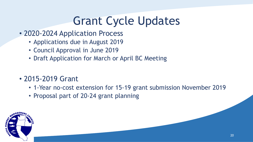## Grant Cycle Updates

- 2020-2024 Application Process
	- Applications due in August 2019
	- Council Approval in June 2019
	- Draft Application for March or April BC Meeting
- 2015-2019 Grant
	- 1-Year no-cost extension for 15-19 grant submission November 2019
	- Proposal part of 20-24 grant planning

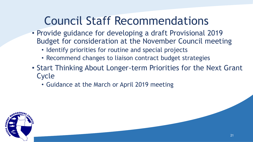## Council Staff Recommendations

- Provide guidance for developing a draft Provisional 2019 Budget for consideration at the November Council meeting
	- Identify priorities for routine and special projects
	- Recommend changes to liaison contract budget strategies
- Start Thinking About Longer-term Priorities for the Next Grant **Cycle** 
	- Guidance at the March or April 2019 meeting